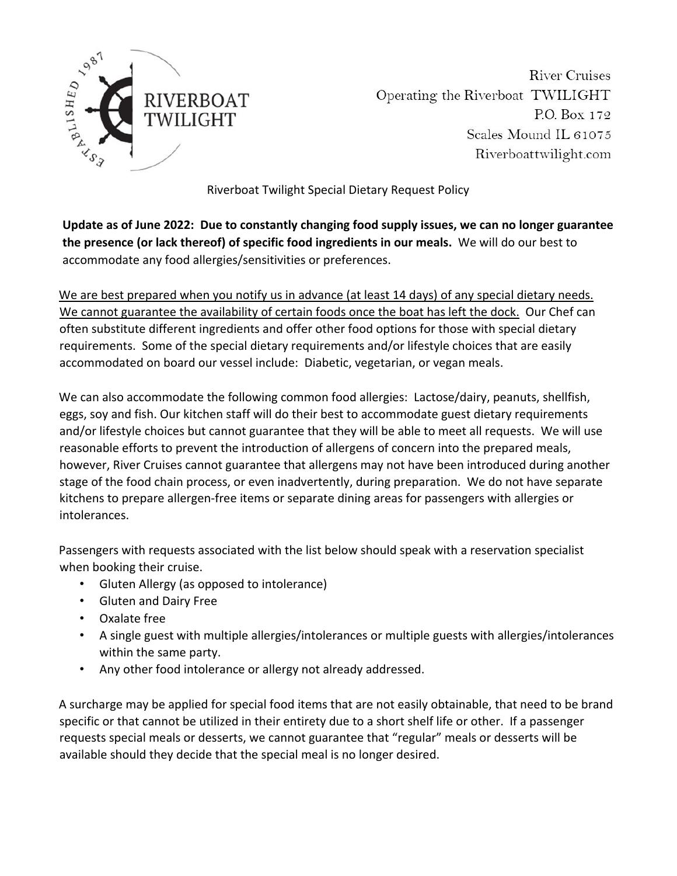

**River Cruises** Operating the Riverboat TWILIGHT P.O. Box 172 Scales Mound IL 61075 Riverboattwilight.com

Riverboat Twilight Special Dietary Request Policy

**Update as of June 2022: Due to constantly changing food supply issues, we can no longer guarantee the presence (or lack thereof) of specific food ingredients in our meals.** We will do our best to accommodate any food allergies/sensitivities or preferences.

We are best prepared when you notify us in advance (at least 14 days) of any special dietary needs. We cannot guarantee the availability of certain foods once the boat has left the dock. Our Chef can often substitute different ingredients and offer other food options for those with special dietary requirements. Some of the special dietary requirements and/or lifestyle choices that are easily accommodated on board our vessel include: Diabetic, vegetarian, or vegan meals.

We can also accommodate the following common food allergies: Lactose/dairy, peanuts, shellfish, eggs, soy and fish. Our kitchen staff will do their best to accommodate guest dietary requirements and/or lifestyle choices but cannot guarantee that they will be able to meet all requests. We will use reasonable efforts to prevent the introduction of allergens of concern into the prepared meals, however, River Cruises cannot guarantee that allergens may not have been introduced during another stage of the food chain process, or even inadvertently, during preparation. We do not have separate kitchens to prepare allergen‐free items or separate dining areas for passengers with allergies or intolerances.

Passengers with requests associated with the list below should speak with a reservation specialist when booking their cruise.

- Gluten Allergy (as opposed to intolerance)
- Gluten and Dairy Free
- Oxalate free
- A single guest with multiple allergies/intolerances or multiple guests with allergies/intolerances within the same party.
- Any other food intolerance or allergy not already addressed.

A surcharge may be applied for special food items that are not easily obtainable, that need to be brand specific or that cannot be utilized in their entirety due to a short shelf life or other. If a passenger requests special meals or desserts, we cannot guarantee that "regular" meals or desserts will be available should they decide that the special meal is no longer desired.